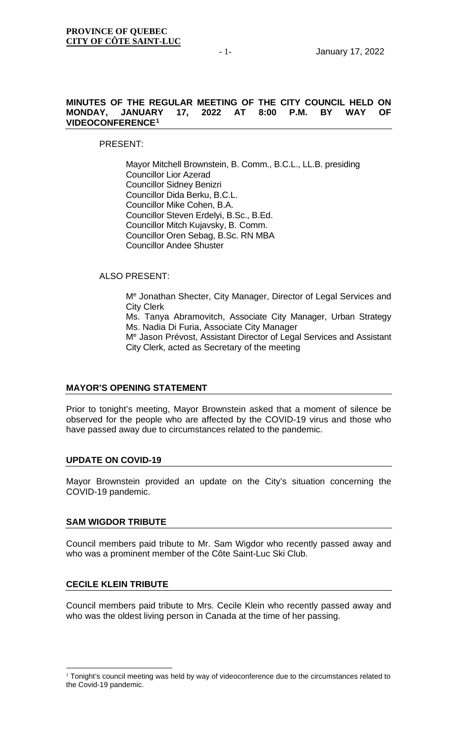### **MINUTES OF THE REGULAR MEETING OF THE CITY COUNCIL HELD ON MONDAY, JANUARY 17, 2022 AT 8:00 VIDEOCONFERENCE[1](#page-0-0)**

PRESENT:

Mayor Mitchell Brownstein, B. Comm., B.C.L., LL.B. presiding Councillor Lior Azerad Councillor Sidney Benizri Councillor Dida Berku, B.C.L. Councillor Mike Cohen, B.A. Councillor Steven Erdelyi, B.Sc., B.Ed. Councillor Mitch Kujavsky, B. Comm. Councillor Oren Sebag, B.Sc. RN MBA Councillor Andee Shuster

# ALSO PRESENT:

Me Jonathan Shecter, City Manager, Director of Legal Services and City Clerk

Ms. Tanya Abramovitch, Associate City Manager, Urban Strategy Ms. Nadia Di Furia, Associate City Manager

Me Jason Prévost, Assistant Director of Legal Services and Assistant City Clerk, acted as Secretary of the meeting

### **MAYOR'S OPENING STATEMENT**

Prior to tonight's meeting, Mayor Brownstein asked that a moment of silence be observed for the people who are affected by the COVID-19 virus and those who have passed away due to circumstances related to the pandemic.

### **UPDATE ON COVID-19**

Mayor Brownstein provided an update on the City's situation concerning the COVID-19 pandemic.

### **SAM WIGDOR TRIBUTE**

Council members paid tribute to Mr. Sam Wigdor who recently passed away and who was a prominent member of the Côte Saint-Luc Ski Club.

### **CECILE KLEIN TRIBUTE**

Council members paid tribute to Mrs. Cecile Klein who recently passed away and who was the oldest living person in Canada at the time of her passing.

<span id="page-0-0"></span><sup>&</sup>lt;sup>1</sup> Tonight's council meeting was held by way of videoconference due to the circumstances related to the Covid-19 pandemic.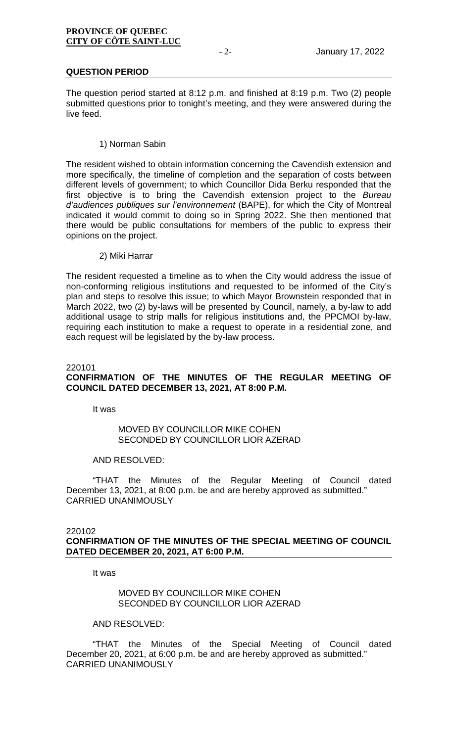### **QUESTION PERIOD**

The question period started at 8:12 p.m. and finished at 8:19 p.m. Two (2) people submitted questions prior to tonight's meeting, and they were answered during the live feed.

### 1) Norman Sabin

The resident wished to obtain information concerning the Cavendish extension and more specifically, the timeline of completion and the separation of costs between different levels of government; to which Councillor Dida Berku responded that the first objective is to bring the Cavendish extension project to the *Bureau d'audiences publiques sur l'environnement* (BAPE), for which the City of Montreal indicated it would commit to doing so in Spring 2022. She then mentioned that there would be public consultations for members of the public to express their opinions on the project.

### 2) Miki Harrar

The resident requested a timeline as to when the City would address the issue of non-conforming religious institutions and requested to be informed of the City's plan and steps to resolve this issue; to which Mayor Brownstein responded that in March 2022, two (2) by-laws will be presented by Council, namely, a by-law to add additional usage to strip malls for religious institutions and, the PPCMOI by-law, requiring each institution to make a request to operate in a residential zone, and each request will be legislated by the by-law process.

### 220101

# **CONFIRMATION OF THE MINUTES OF THE REGULAR MEETING OF COUNCIL DATED DECEMBER 13, 2021, AT 8:00 P.M.**

It was

# MOVED BY COUNCILLOR MIKE COHEN SECONDED BY COUNCILLOR LIOR AZERAD

### AND RESOLVED:

"THAT the Minutes of the Regular Meeting of Council dated December 13, 2021, at 8:00 p.m. be and are hereby approved as submitted." CARRIED UNANIMOUSLY

### 220102

### **CONFIRMATION OF THE MINUTES OF THE SPECIAL MEETING OF COUNCIL DATED DECEMBER 20, 2021, AT 6:00 P.M.**

It was

### MOVED BY COUNCILLOR MIKE COHEN SECONDED BY COUNCILLOR LIOR AZERAD

### AND RESOLVED:

"THAT the Minutes of the Special Meeting of Council dated December 20, 2021, at 6:00 p.m. be and are hereby approved as submitted." CARRIED UNANIMOUSLY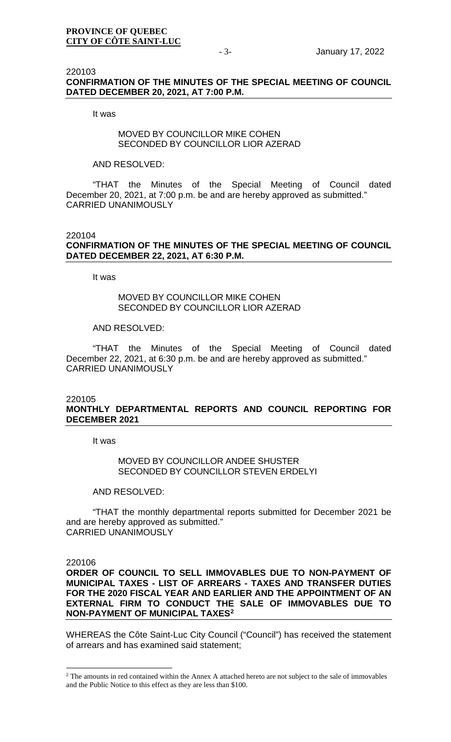### 220103 **CONFIRMATION OF THE MINUTES OF THE SPECIAL MEETING OF COUNCIL DATED DECEMBER 20, 2021, AT 7:00 P.M.**

It was

# MOVED BY COUNCILLOR MIKE COHEN SECONDED BY COUNCILLOR LIOR AZERAD

### AND RESOLVED:

"THAT the Minutes of the Special Meeting of Council dated December 20, 2021, at 7:00 p.m. be and are hereby approved as submitted." CARRIED UNANIMOUSLY

### 220104 **CONFIRMATION OF THE MINUTES OF THE SPECIAL MEETING OF COUNCIL DATED DECEMBER 22, 2021, AT 6:30 P.M.**

It was

# MOVED BY COUNCILLOR MIKE COHEN SECONDED BY COUNCILLOR LIOR AZERAD

### AND RESOLVED:

"THAT the Minutes of the Special Meeting of Council dated December 22, 2021, at 6:30 p.m. be and are hereby approved as submitted." CARRIED UNANIMOUSLY

### 220105

# **MONTHLY DEPARTMENTAL REPORTS AND COUNCIL REPORTING FOR DECEMBER 2021**

It was

### MOVED BY COUNCILLOR ANDEE SHUSTER SECONDED BY COUNCILLOR STEVEN ERDELYI

### AND RESOLVED:

"THAT the monthly departmental reports submitted for December 2021 be and are hereby approved as submitted." CARRIED UNANIMOUSLY

220106

### **ORDER OF COUNCIL TO SELL IMMOVABLES DUE TO NON-PAYMENT OF MUNICIPAL TAXES - LIST OF ARREARS - TAXES AND TRANSFER DUTIES FOR THE 2020 FISCAL YEAR AND EARLIER AND THE APPOINTMENT OF AN EXTERNAL FIRM TO CONDUCT THE SALE OF IMMOVABLES DUE TO NON-PAYMENT OF MUNICIPAL TAXES[2](#page-2-0)**

WHEREAS the Côte Saint-Luc City Council ("Council") has received the statement of arrears and has examined said statement;

<span id="page-2-0"></span><sup>&</sup>lt;sup>2</sup> The amounts in red contained within the Annex A attached hereto are not subject to the sale of immovables and the Public Notice to this effect as they are less than \$100.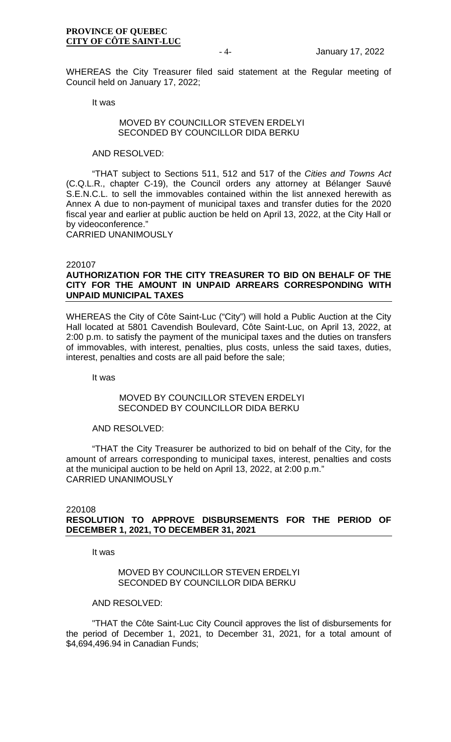WHEREAS the City Treasurer filed said statement at the Regular meeting of Council held on January 17, 2022;

It was

### MOVED BY COUNCILLOR STEVEN ERDELYI SECONDED BY COUNCILLOR DIDA BERKU

### AND RESOLVED:

"THAT subject to Sections 511, 512 and 517 of the *Cities and Towns Act* (C.Q.L.R., chapter C-19), the Council orders any attorney at Bélanger Sauvé S.E.N.C.L. to sell the immovables contained within the list annexed herewith as Annex A due to non-payment of municipal taxes and transfer duties for the 2020 fiscal year and earlier at public auction be held on April 13, 2022, at the City Hall or by videoconference."

CARRIED UNANIMOUSLY

### 220107

# **AUTHORIZATION FOR THE CITY TREASURER TO BID ON BEHALF OF THE CITY FOR THE AMOUNT IN UNPAID ARREARS CORRESPONDING WITH UNPAID MUNICIPAL TAXES**

WHEREAS the City of Côte Saint-Luc ("City") will hold a Public Auction at the City Hall located at 5801 Cavendish Boulevard, Côte Saint-Luc, on April 13, 2022, at 2:00 p.m. to satisfy the payment of the municipal taxes and the duties on transfers of immovables, with interest, penalties, plus costs, unless the said taxes, duties, interest, penalties and costs are all paid before the sale;

It was

### MOVED BY COUNCILLOR STEVEN ERDELYI SECONDED BY COUNCILLOR DIDA BERKU

### AND RESOLVED:

"THAT the City Treasurer be authorized to bid on behalf of the City, for the amount of arrears corresponding to municipal taxes, interest, penalties and costs at the municipal auction to be held on April 13, 2022, at 2:00 p.m." CARRIED UNANIMOUSLY

### 220108 **RESOLUTION TO APPROVE DISBURSEMENTS FOR THE PERIOD OF DECEMBER 1, 2021, TO DECEMBER 31, 2021**

It was

### MOVED BY COUNCILLOR STEVEN ERDELYI SECONDED BY COUNCILLOR DIDA BERKU

### AND RESOLVED:

"THAT the Côte Saint-Luc City Council approves the list of disbursements for the period of December 1, 2021, to December 31, 2021, for a total amount of \$4,694,496.94 in Canadian Funds;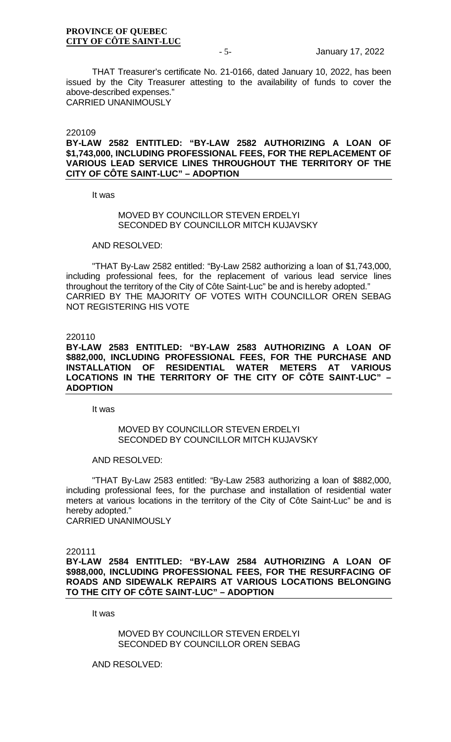THAT Treasurer's certificate No. 21-0166, dated January 10, 2022, has been issued by the City Treasurer attesting to the availability of funds to cover the above-described expenses." CARRIED UNANIMOUSLY

220109

### **BY-LAW 2582 ENTITLED: "BY-LAW 2582 AUTHORIZING A LOAN OF \$1,743,000, INCLUDING PROFESSIONAL FEES, FOR THE REPLACEMENT OF VARIOUS LEAD SERVICE LINES THROUGHOUT THE TERRITORY OF THE CITY OF CÔTE SAINT-LUC" – ADOPTION**

It was

### MOVED BY COUNCILLOR STEVEN ERDELYI SECONDED BY COUNCILLOR MITCH KUJAVSKY

# AND RESOLVED:

"THAT By-Law 2582 entitled: "By-Law 2582 authorizing a loan of \$1,743,000, including professional fees, for the replacement of various lead service lines throughout the territory of the City of Côte Saint-Luc" be and is hereby adopted." CARRIED BY THE MAJORITY OF VOTES WITH COUNCILLOR OREN SEBAG NOT REGISTERING HIS VOTE

#### 220110

**BY-LAW 2583 ENTITLED: "BY-LAW 2583 AUTHORIZING A LOAN OF \$882,000, INCLUDING PROFESSIONAL FEES, FOR THE PURCHASE AND INSTALLATION OF RESIDENTIAL WATER METERS AT VARIOUS LOCATIONS IN THE TERRITORY OF THE CITY OF CÔTE SAINT-LUC" – ADOPTION**

It was

### MOVED BY COUNCILLOR STEVEN ERDELYI SECONDED BY COUNCILLOR MITCH KUJAVSKY

#### AND RESOLVED:

"THAT By-Law 2583 entitled: "By-Law 2583 authorizing a loan of \$882,000, including professional fees, for the purchase and installation of residential water meters at various locations in the territory of the City of Côte Saint-Luc" be and is hereby adopted."

CARRIED UNANIMOUSLY

#### 220111

**BY-LAW 2584 ENTITLED: "BY-LAW 2584 AUTHORIZING A LOAN OF \$988,000, INCLUDING PROFESSIONAL FEES, FOR THE RESURFACING OF ROADS AND SIDEWALK REPAIRS AT VARIOUS LOCATIONS BELONGING TO THE CITY OF CÔTE SAINT-LUC" – ADOPTION**

It was

MOVED BY COUNCILLOR STEVEN ERDELYI SECONDED BY COUNCILLOR OREN SEBAG

AND RESOLVED: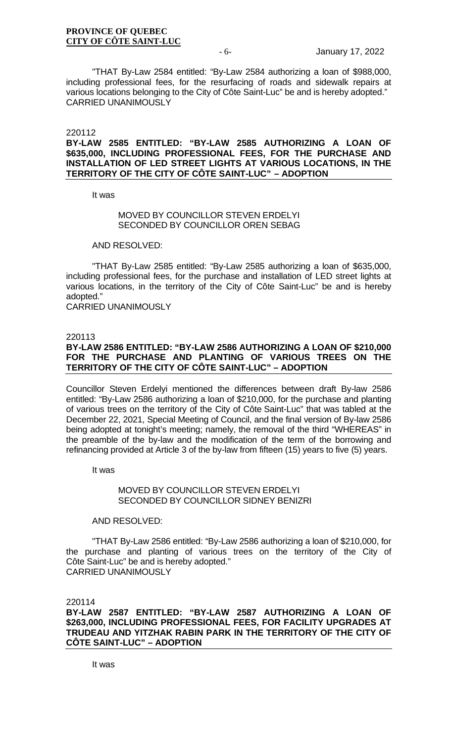"THAT By-Law 2584 entitled: "By-Law 2584 authorizing a loan of \$988,000, including professional fees, for the resurfacing of roads and sidewalk repairs at various locations belonging to the City of Côte Saint-Luc" be and is hereby adopted." CARRIED UNANIMOUSLY

#### 220112

### **BY-LAW 2585 ENTITLED: "BY-LAW 2585 AUTHORIZING A LOAN OF \$635,000, INCLUDING PROFESSIONAL FEES, FOR THE PURCHASE AND INSTALLATION OF LED STREET LIGHTS AT VARIOUS LOCATIONS, IN THE TERRITORY OF THE CITY OF CÔTE SAINT-LUC" – ADOPTION**

It was

### MOVED BY COUNCILLOR STEVEN ERDELYI SECONDED BY COUNCILLOR OREN SEBAG

# AND RESOLVED:

"THAT By-Law 2585 entitled: "By-Law 2585 authorizing a loan of \$635,000, including professional fees, for the purchase and installation of LED street lights at various locations, in the territory of the City of Côte Saint-Luc" be and is hereby adopted."

CARRIED UNANIMOUSLY

#### 220113

### **BY-LAW 2586 ENTITLED: "BY-LAW 2586 AUTHORIZING A LOAN OF \$210,000 FOR THE PURCHASE AND PLANTING OF VARIOUS TREES ON THE TERRITORY OF THE CITY OF CÔTE SAINT-LUC" – ADOPTION**

Councillor Steven Erdelyi mentioned the differences between draft By-law 2586 entitled: "By-Law 2586 authorizing a loan of \$210,000, for the purchase and planting of various trees on the territory of the City of Côte Saint-Luc" that was tabled at the December 22, 2021, Special Meeting of Council, and the final version of By-law 2586 being adopted at tonight's meeting; namely, the removal of the third "WHEREAS" in the preamble of the by-law and the modification of the term of the borrowing and refinancing provided at Article 3 of the by-law from fifteen (15) years to five (5) years.

It was

### MOVED BY COUNCILLOR STEVEN ERDELYI SECONDED BY COUNCILLOR SIDNEY BENIZRI

### AND RESOLVED:

"THAT By-Law 2586 entitled: "By-Law 2586 authorizing a loan of \$210,000, for the purchase and planting of various trees on the territory of the City of Côte Saint-Luc" be and is hereby adopted." CARRIED UNANIMOUSLY

220114

### **BY-LAW 2587 ENTITLED: "BY-LAW 2587 AUTHORIZING A LOAN OF \$263,000, INCLUDING PROFESSIONAL FEES, FOR FACILITY UPGRADES AT TRUDEAU AND YITZHAK RABIN PARK IN THE TERRITORY OF THE CITY OF CÔTE SAINT-LUC" – ADOPTION**

It was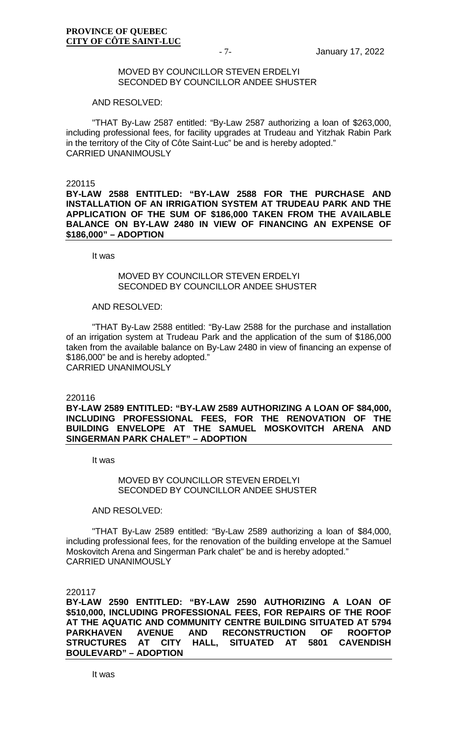### MOVED BY COUNCILLOR STEVEN ERDELYI SECONDED BY COUNCILLOR ANDEE SHUSTER

### AND RESOLVED:

"THAT By-Law 2587 entitled: "By-Law 2587 authorizing a loan of \$263,000, including professional fees, for facility upgrades at Trudeau and Yitzhak Rabin Park in the territory of the City of Côte Saint-Luc" be and is hereby adopted." CARRIED UNANIMOUSLY

220115

**BY-LAW 2588 ENTITLED: "BY-LAW 2588 FOR THE PURCHASE AND INSTALLATION OF AN IRRIGATION SYSTEM AT TRUDEAU PARK AND THE APPLICATION OF THE SUM OF \$186,000 TAKEN FROM THE AVAILABLE BALANCE ON BY-LAW 2480 IN VIEW OF FINANCING AN EXPENSE OF \$186,000" – ADOPTION**

It was

# MOVED BY COUNCILLOR STEVEN ERDELYI SECONDED BY COUNCILLOR ANDEE SHUSTER

### AND RESOLVED:

"THAT By-Law 2588 entitled: "By-Law 2588 for the purchase and installation of an irrigation system at Trudeau Park and the application of the sum of \$186,000 taken from the available balance on By-Law 2480 in view of financing an expense of \$186,000" be and is hereby adopted." CARRIED UNANIMOUSLY

220116

### **BY-LAW 2589 ENTITLED: "BY-LAW 2589 AUTHORIZING A LOAN OF \$84,000, INCLUDING PROFESSIONAL FEES, FOR THE RENOVATION OF THE BUILDING ENVELOPE AT THE SAMUEL MOSKOVITCH ARENA AND SINGERMAN PARK CHALET" – ADOPTION**

It was

### MOVED BY COUNCILLOR STEVEN ERDELYI SECONDED BY COUNCILLOR ANDEE SHUSTER

### AND RESOLVED:

"THAT By-Law 2589 entitled: "By-Law 2589 authorizing a loan of \$84,000, including professional fees, for the renovation of the building envelope at the Samuel Moskovitch Arena and Singerman Park chalet" be and is hereby adopted." CARRIED UNANIMOUSLY

220117

**BY-LAW 2590 ENTITLED: "BY-LAW 2590 AUTHORIZING A LOAN OF \$510,000, INCLUDING PROFESSIONAL FEES, FOR REPAIRS OF THE ROOF AT THE AQUATIC AND COMMUNITY CENTRE BUILDING SITUATED AT 5794 PARKHAVEN AVENUE AND RECONSTRUCTION OF ROOFTOP STRUCTURES AT CITY HALL, SITUATED AT 5801 CAVENDISH BOULEVARD" – ADOPTION**

It was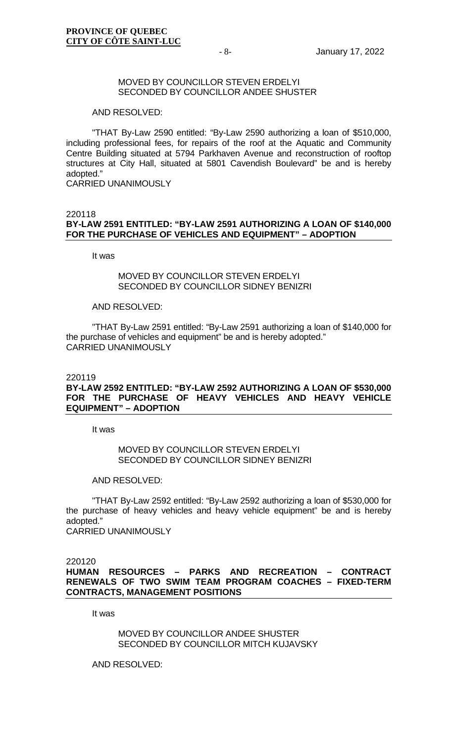### MOVED BY COUNCILLOR STEVEN ERDELYI SECONDED BY COUNCILLOR ANDEE SHUSTER

#### AND RESOLVED:

"THAT By-Law 2590 entitled: "By-Law 2590 authorizing a loan of \$510,000, including professional fees, for repairs of the roof at the Aquatic and Community Centre Building situated at 5794 Parkhaven Avenue and reconstruction of rooftop structures at City Hall, situated at 5801 Cavendish Boulevard" be and is hereby adopted."

CARRIED UNANIMOUSLY

#### 220118

# **BY-LAW 2591 ENTITLED: "BY-LAW 2591 AUTHORIZING A LOAN OF \$140,000 FOR THE PURCHASE OF VEHICLES AND EQUIPMENT" – ADOPTION**

It was

### MOVED BY COUNCILLOR STEVEN ERDELYI SECONDED BY COUNCILLOR SIDNEY BENIZRI

### AND RESOLVED:

"THAT By-Law 2591 entitled: "By-Law 2591 authorizing a loan of \$140,000 for the purchase of vehicles and equipment" be and is hereby adopted." CARRIED UNANIMOUSLY

#### 220119

### **BY-LAW 2592 ENTITLED: "BY-LAW 2592 AUTHORIZING A LOAN OF \$530,000 FOR THE PURCHASE OF HEAVY VEHICLES AND HEAVY VEHICLE EQUIPMENT" – ADOPTION**

It was

### MOVED BY COUNCILLOR STEVEN ERDELYI SECONDED BY COUNCILLOR SIDNEY BENIZRI

AND RESOLVED:

"THAT By-Law 2592 entitled: "By-Law 2592 authorizing a loan of \$530,000 for the purchase of heavy vehicles and heavy vehicle equipment" be and is hereby adopted."

CARRIED UNANIMOUSLY

220120

**HUMAN RESOURCES – PARKS AND RECREATION – CONTRACT RENEWALS OF TWO SWIM TEAM PROGRAM COACHES – FIXED-TERM CONTRACTS, MANAGEMENT POSITIONS**

It was

MOVED BY COUNCILLOR ANDEE SHUSTER SECONDED BY COUNCILLOR MITCH KUJAVSKY

AND RESOLVED: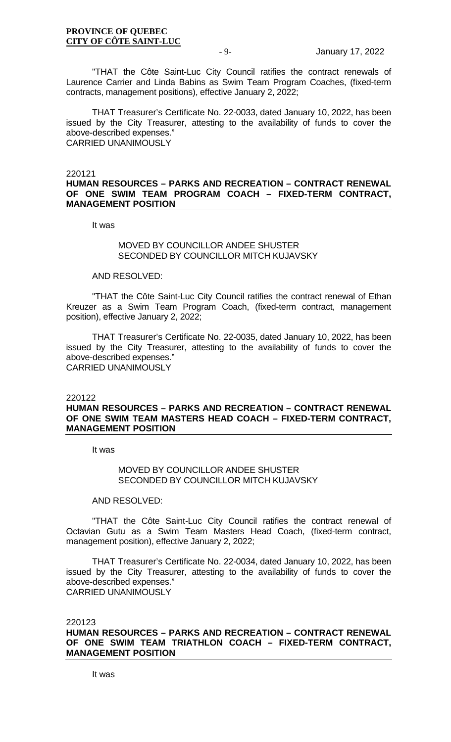"THAT the Côte Saint-Luc City Council ratifies the contract renewals of Laurence Carrier and Linda Babins as Swim Team Program Coaches, (fixed-term contracts, management positions), effective January 2, 2022;

THAT Treasurer's Certificate No. 22-0033, dated January 10, 2022, has been issued by the City Treasurer, attesting to the availability of funds to cover the above-described expenses." CARRIED UNANIMOUSLY

220121

### **HUMAN RESOURCES – PARKS AND RECREATION – CONTRACT RENEWAL OF ONE SWIM TEAM PROGRAM COACH – FIXED-TERM CONTRACT, MANAGEMENT POSITION**

It was

### MOVED BY COUNCILLOR ANDEE SHUSTER SECONDED BY COUNCILLOR MITCH KUJAVSKY

### AND RESOLVED:

"THAT the Côte Saint-Luc City Council ratifies the contract renewal of Ethan Kreuzer as a Swim Team Program Coach, (fixed-term contract, management position), effective January 2, 2022;

THAT Treasurer's Certificate No. 22-0035, dated January 10, 2022, has been issued by the City Treasurer, attesting to the availability of funds to cover the above-described expenses." CARRIED UNANIMOUSLY

220122

### **HUMAN RESOURCES – PARKS AND RECREATION – CONTRACT RENEWAL OF ONE SWIM TEAM MASTERS HEAD COACH – FIXED-TERM CONTRACT, MANAGEMENT POSITION**

It was

### MOVED BY COUNCILLOR ANDEE SHUSTER SECONDED BY COUNCILLOR MITCH KUJAVSKY

#### AND RESOLVED:

"THAT the Côte Saint-Luc City Council ratifies the contract renewal of Octavian Gutu as a Swim Team Masters Head Coach, (fixed-term contract, management position), effective January 2, 2022;

THAT Treasurer's Certificate No. 22-0034, dated January 10, 2022, has been issued by the City Treasurer, attesting to the availability of funds to cover the above-described expenses." CARRIED UNANIMOUSLY

#### 220123

# **HUMAN RESOURCES – PARKS AND RECREATION – CONTRACT RENEWAL OF ONE SWIM TEAM TRIATHLON COACH – FIXED-TERM CONTRACT, MANAGEMENT POSITION**

It was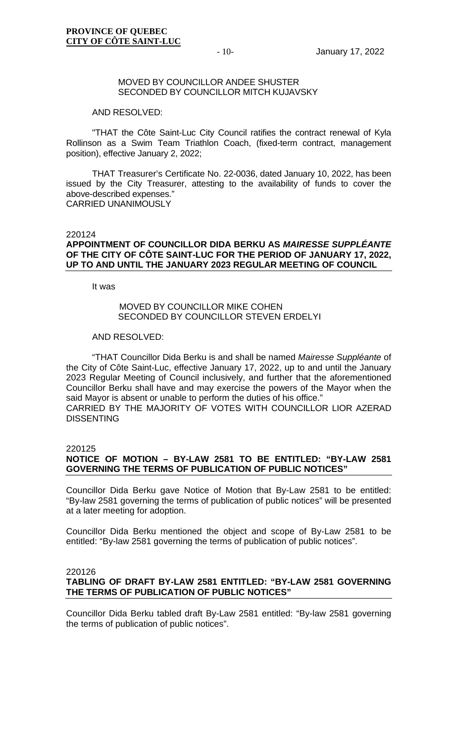### MOVED BY COUNCILLOR ANDEE SHUSTER SECONDED BY COUNCILLOR MITCH KUJAVSKY

#### AND RESOLVED:

"THAT the Côte Saint-Luc City Council ratifies the contract renewal of Kyla Rollinson as a Swim Team Triathlon Coach, (fixed-term contract, management position), effective January 2, 2022;

THAT Treasurer's Certificate No. 22-0036, dated January 10, 2022, has been issued by the City Treasurer, attesting to the availability of funds to cover the above-described expenses." CARRIED UNANIMOUSLY

#### 220124

### **APPOINTMENT OF COUNCILLOR DIDA BERKU AS** *MAIRESSE SUPPLÉANTE* **OF THE CITY OF CÔTE SAINT-LUC FOR THE PERIOD OF JANUARY 17, 2022, UP TO AND UNTIL THE JANUARY 2023 REGULAR MEETING OF COUNCIL**

It was

### MOVED BY COUNCILLOR MIKE COHEN SECONDED BY COUNCILLOR STEVEN ERDELYI

#### AND RESOLVED:

"THAT Councillor Dida Berku is and shall be named *Mairesse Suppléante* of the City of Côte Saint-Luc, effective January 17, 2022, up to and until the January 2023 Regular Meeting of Council inclusively, and further that the aforementioned Councillor Berku shall have and may exercise the powers of the Mayor when the said Mayor is absent or unable to perform the duties of his office." CARRIED BY THE MAJORITY OF VOTES WITH COUNCILLOR LIOR AZERAD **DISSENTING** 

#### 220125

# **NOTICE OF MOTION – BY-LAW 2581 TO BE ENTITLED: "BY-LAW 2581 GOVERNING THE TERMS OF PUBLICATION OF PUBLIC NOTICES"**

Councillor Dida Berku gave Notice of Motion that By-Law 2581 to be entitled: "By-law 2581 governing the terms of publication of public notices" will be presented at a later meeting for adoption.

Councillor Dida Berku mentioned the object and scope of By-Law 2581 to be entitled: "By-law 2581 governing the terms of publication of public notices".

#### 220126

### **TABLING OF DRAFT BY-LAW 2581 ENTITLED: "BY-LAW 2581 GOVERNING THE TERMS OF PUBLICATION OF PUBLIC NOTICES"**

Councillor Dida Berku tabled draft By-Law 2581 entitled: "By-law 2581 governing the terms of publication of public notices".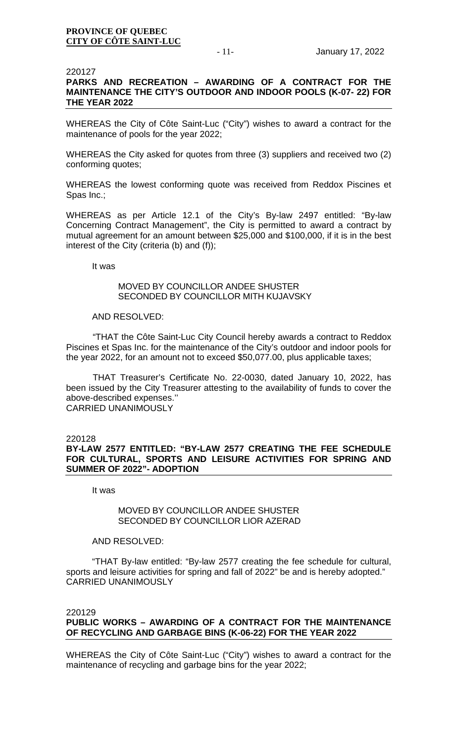### 220127

# **PARKS AND RECREATION – AWARDING OF A CONTRACT FOR THE MAINTENANCE THE CITY'S OUTDOOR AND INDOOR POOLS (K-07- 22) FOR THE YEAR 2022**

WHEREAS the City of Côte Saint-Luc ("City") wishes to award a contract for the maintenance of pools for the year 2022;

WHEREAS the City asked for quotes from three (3) suppliers and received two (2) conforming quotes;

WHEREAS the lowest conforming quote was received from Reddox Piscines et Spas Inc.;

WHEREAS as per Article 12.1 of the City's By-law 2497 entitled: "By-law Concerning Contract Management", the City is permitted to award a contract by mutual agreement for an amount between \$25,000 and \$100,000, if it is in the best interest of the City (criteria (b) and (f));

It was

### MOVED BY COUNCILLOR ANDEE SHUSTER SECONDED BY COUNCILLOR MITH KUJAVSKY

### AND RESOLVED:

"THAT the Côte Saint-Luc City Council hereby awards a contract to Reddox Piscines et Spas Inc. for the maintenance of the City's outdoor and indoor pools for the year 2022, for an amount not to exceed \$50,077.00, plus applicable taxes;

THAT Treasurer's Certificate No. 22-0030, dated January 10, 2022, has been issued by the City Treasurer attesting to the availability of funds to cover the above-described expenses.'' CARRIED UNANIMOUSLY

### 220128

# **BY-LAW 2577 ENTITLED: "BY-LAW 2577 CREATING THE FEE SCHEDULE FOR CULTURAL, SPORTS AND LEISURE ACTIVITIES FOR SPRING AND SUMMER OF 2022"- ADOPTION**

It was

### MOVED BY COUNCILLOR ANDEE SHUSTER SECONDED BY COUNCILLOR LIOR AZERAD

### AND RESOLVED:

"THAT By-law entitled: "By-law 2577 creating the fee schedule for cultural, sports and leisure activities for spring and fall of 2022" be and is hereby adopted." CARRIED UNANIMOUSLY

### 220129

# **PUBLIC WORKS – AWARDING OF A CONTRACT FOR THE MAINTENANCE OF RECYCLING AND GARBAGE BINS (K-06-22) FOR THE YEAR 2022**

WHEREAS the City of Côte Saint-Luc ("City") wishes to award a contract for the maintenance of recycling and garbage bins for the year 2022;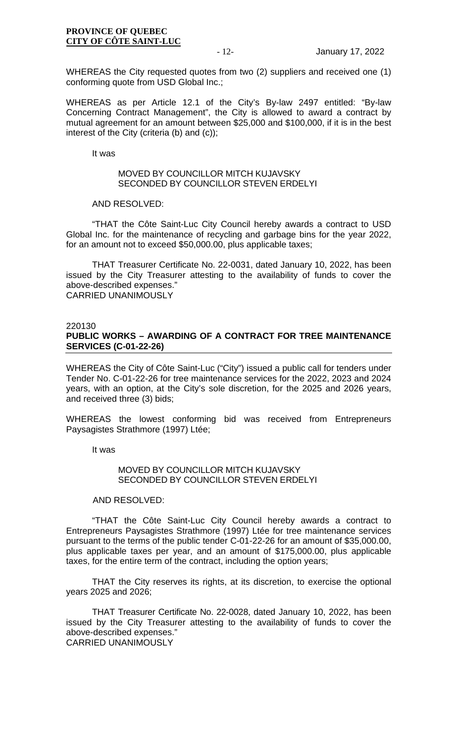WHEREAS the City requested quotes from two (2) suppliers and received one (1) conforming quote from USD Global Inc.;

WHEREAS as per Article 12.1 of the City's By-law 2497 entitled: "By-law Concerning Contract Management", the City is allowed to award a contract by mutual agreement for an amount between \$25,000 and \$100,000, if it is in the best interest of the City (criteria (b) and (c));

It was

### MOVED BY COUNCILLOR MITCH KUJAVSKY SECONDED BY COUNCILLOR STEVEN ERDELYI

### AND RESOLVED:

"THAT the Côte Saint-Luc City Council hereby awards a contract to USD Global Inc. for the maintenance of recycling and garbage bins for the year 2022, for an amount not to exceed \$50,000.00, plus applicable taxes;

THAT Treasurer Certificate No. 22-0031, dated January 10, 2022, has been issued by the City Treasurer attesting to the availability of funds to cover the above-described expenses." CARRIED UNANIMOUSLY

### 220130

# **PUBLIC WORKS – AWARDING OF A CONTRACT FOR TREE MAINTENANCE SERVICES (C-01-22-26)**

WHEREAS the City of Côte Saint-Luc ("City") issued a public call for tenders under Tender No. C-01-22-26 for tree maintenance services for the 2022, 2023 and 2024 years, with an option, at the City's sole discretion, for the 2025 and 2026 years, and received three (3) bids;

WHEREAS the lowest conforming bid was received from Entrepreneurs Paysagistes Strathmore (1997) Ltée;

It was

### MOVED BY COUNCILLOR MITCH KUJAVSKY SECONDED BY COUNCILLOR STEVEN ERDELYI

### AND RESOLVED:

"THAT the Côte Saint-Luc City Council hereby awards a contract to Entrepreneurs Paysagistes Strathmore (1997) Ltée for tree maintenance services pursuant to the terms of the public tender C-01-22-26 for an amount of \$35,000.00, plus applicable taxes per year, and an amount of \$175,000.00, plus applicable taxes, for the entire term of the contract, including the option years;

THAT the City reserves its rights, at its discretion, to exercise the optional years 2025 and 2026;

THAT Treasurer Certificate No. 22-0028, dated January 10, 2022, has been issued by the City Treasurer attesting to the availability of funds to cover the above-described expenses."

CARRIED UNANIMOUSLY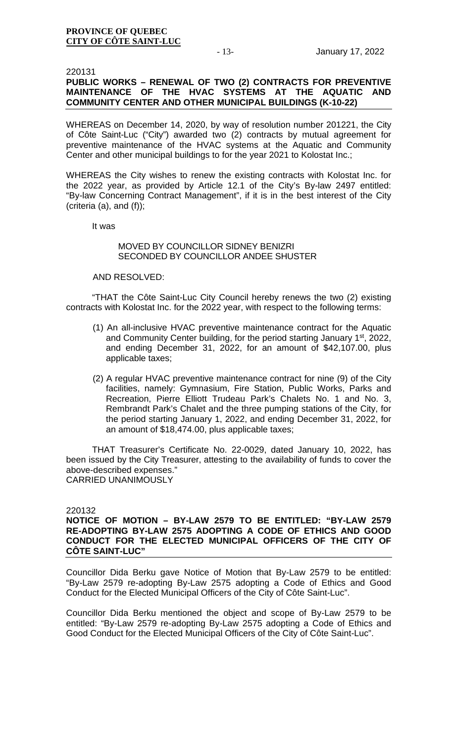220131

# **PUBLIC WORKS – RENEWAL OF TWO (2) CONTRACTS FOR PREVENTIVE MAINTENANCE OF THE HVAC SYSTEMS AT THE AQUATIC AND COMMUNITY CENTER AND OTHER MUNICIPAL BUILDINGS (K-10-22)**

WHEREAS on December 14, 2020, by way of resolution number 201221, the City of Côte Saint-Luc ("City") awarded two (2) contracts by mutual agreement for preventive maintenance of the HVAC systems at the Aquatic and Community Center and other municipal buildings to for the year 2021 to Kolostat Inc.;

WHEREAS the City wishes to renew the existing contracts with Kolostat Inc. for the 2022 year, as provided by Article 12.1 of the City's By-law 2497 entitled: "By-law Concerning Contract Management", if it is in the best interest of the City (criteria (a), and (f));

It was

# MOVED BY COUNCILLOR SIDNEY BENIZRI SECONDED BY COUNCILLOR ANDEE SHUSTER

### AND RESOLVED:

"THAT the Côte Saint-Luc City Council hereby renews the two (2) existing contracts with Kolostat Inc. for the 2022 year, with respect to the following terms:

- (1) An all-inclusive HVAC preventive maintenance contract for the Aquatic and Community Center building, for the period starting January 1<sup>st</sup>, 2022, and ending December 31, 2022, for an amount of \$42,107.00, plus applicable taxes;
- (2) A regular HVAC preventive maintenance contract for nine (9) of the City facilities, namely: Gymnasium, Fire Station, Public Works, Parks and Recreation, Pierre Elliott Trudeau Park's Chalets No. 1 and No. 3, Rembrandt Park's Chalet and the three pumping stations of the City, for the period starting January 1, 2022, and ending December 31, 2022, for an amount of \$18,474.00, plus applicable taxes;

THAT Treasurer's Certificate No. 22-0029, dated January 10, 2022, has been issued by the City Treasurer, attesting to the availability of funds to cover the above-described expenses." CARRIED UNANIMOUSLY

### 220132

### **NOTICE OF MOTION – BY-LAW 2579 TO BE ENTITLED: "BY-LAW 2579 RE-ADOPTING BY-LAW 2575 ADOPTING A CODE OF ETHICS AND GOOD CONDUCT FOR THE ELECTED MUNICIPAL OFFICERS OF THE CITY OF CÔTE SAINT-LUC"**

Councillor Dida Berku gave Notice of Motion that By-Law 2579 to be entitled: "By-Law 2579 re-adopting By-Law 2575 adopting a Code of Ethics and Good Conduct for the Elected Municipal Officers of the City of Côte Saint-Luc".

Councillor Dida Berku mentioned the object and scope of By-Law 2579 to be entitled: "By-Law 2579 re-adopting By-Law 2575 adopting a Code of Ethics and Good Conduct for the Elected Municipal Officers of the City of Côte Saint-Luc".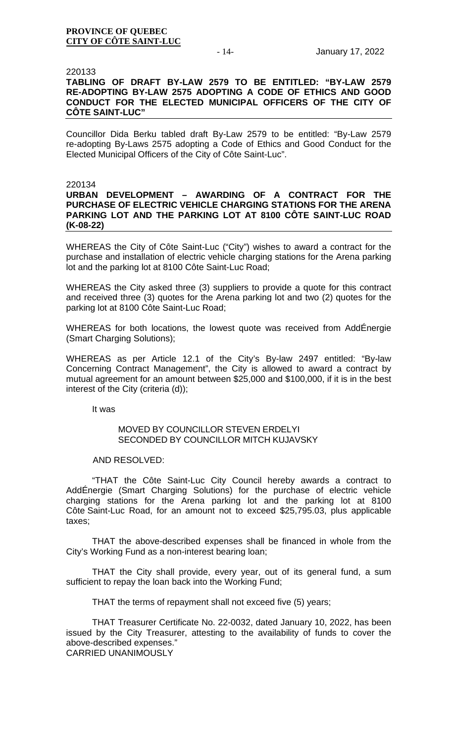### 220133

# **TABLING OF DRAFT BY-LAW 2579 TO BE ENTITLED: "BY-LAW 2579 RE-ADOPTING BY-LAW 2575 ADOPTING A CODE OF ETHICS AND GOOD CONDUCT FOR THE ELECTED MUNICIPAL OFFICERS OF THE CITY OF CÔTE SAINT-LUC"**

Councillor Dida Berku tabled draft By-Law 2579 to be entitled: "By-Law 2579 re-adopting By-Laws 2575 adopting a Code of Ethics and Good Conduct for the Elected Municipal Officers of the City of Côte Saint-Luc".

### 220134

### **URBAN DEVELOPMENT – AWARDING OF A CONTRACT FOR THE PURCHASE OF ELECTRIC VEHICLE CHARGING STATIONS FOR THE ARENA PARKING LOT AND THE PARKING LOT AT 8100 CÔTE SAINT-LUC ROAD (K-08-22)**

WHEREAS the City of Côte Saint-Luc ("City") wishes to award a contract for the purchase and installation of electric vehicle charging stations for the Arena parking lot and the parking lot at 8100 Côte Saint-Luc Road;

WHEREAS the City asked three (3) suppliers to provide a quote for this contract and received three (3) quotes for the Arena parking lot and two (2) quotes for the parking lot at 8100 Côte Saint-Luc Road;

WHEREAS for both locations, the lowest quote was received from AddÉnergie (Smart Charging Solutions);

WHEREAS as per Article 12.1 of the City's By-law 2497 entitled: "By-law Concerning Contract Management", the City is allowed to award a contract by mutual agreement for an amount between \$25,000 and \$100,000, if it is in the best interest of the City (criteria (d));

It was

### MOVED BY COUNCILLOR STEVEN ERDELYI SECONDED BY COUNCILLOR MITCH KUJAVSKY

### AND RESOLVED:

"THAT the Côte Saint-Luc City Council hereby awards a contract to AddÉnergie (Smart Charging Solutions) for the purchase of electric vehicle charging stations for the Arena parking lot and the parking lot at 8100 Côte Saint-Luc Road, for an amount not to exceed \$25,795.03, plus applicable taxes;

THAT the above-described expenses shall be financed in whole from the City's Working Fund as a non-interest bearing loan;

THAT the City shall provide, every year, out of its general fund, a sum sufficient to repay the loan back into the Working Fund;

THAT the terms of repayment shall not exceed five (5) years;

THAT Treasurer Certificate No. 22-0032, dated January 10, 2022, has been issued by the City Treasurer, attesting to the availability of funds to cover the above-described expenses."

CARRIED UNANIMOUSLY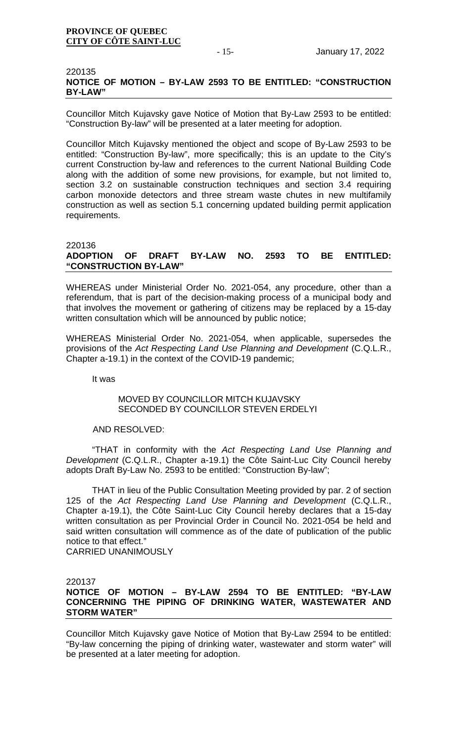### 220135 **NOTICE OF MOTION – BY-LAW 2593 TO BE ENTITLED: "CONSTRUCTION BY-LAW"**

Councillor Mitch Kujavsky gave Notice of Motion that By-Law 2593 to be entitled: "Construction By-law" will be presented at a later meeting for adoption.

Councillor Mitch Kujavsky mentioned the object and scope of By-Law 2593 to be entitled: "Construction By-law", more specifically; this is an update to the City's current Construction by-law and references to the current National Building Code along with the addition of some new provisions, for example, but not limited to, section 3.2 on sustainable construction techniques and section 3.4 requiring carbon monoxide detectors and three stream waste chutes in new multifamily construction as well as section 5.1 concerning updated building permit application requirements.

### 220136<br>**ADOPTION** OF DRAFT BY-LAW NO. 2593 TO BE ENTITLED: **"CONSTRUCTION BY-LAW"**

WHEREAS under Ministerial Order No. 2021-054, any procedure, other than a referendum, that is part of the decision-making process of a municipal body and that involves the movement or gathering of citizens may be replaced by a 15-day written consultation which will be announced by public notice;

WHEREAS Ministerial Order No. 2021-054, when applicable, supersedes the provisions of the *Act Respecting Land Use Planning and Development* (C.Q.L.R., Chapter a-19.1) in the context of the COVID-19 pandemic;

It was

# MOVED BY COUNCILLOR MITCH KUJAVSKY SECONDED BY COUNCILLOR STEVEN ERDELYI

### AND RESOLVED:

"THAT in conformity with the *Act Respecting Land Use Planning and Development* (C.Q.L.R., Chapter a-19.1) the Côte Saint-Luc City Council hereby adopts Draft By-Law No. 2593 to be entitled: "Construction By-law";

THAT in lieu of the Public Consultation Meeting provided by par. 2 of section 125 of the *Act Respecting Land Use Planning and Development* (C.Q.L.R., Chapter a-19.1), the Côte Saint-Luc City Council hereby declares that a 15-day written consultation as per Provincial Order in Council No. 2021-054 be held and said written consultation will commence as of the date of publication of the public notice to that effect."

CARRIED UNANIMOUSLY

# 220137

# **NOTICE OF MOTION – BY-LAW 2594 TO BE ENTITLED: "BY-LAW CONCERNING THE PIPING OF DRINKING WATER, WASTEWATER AND STORM WATER"**

Councillor Mitch Kujavsky gave Notice of Motion that By-Law 2594 to be entitled: "By-law concerning the piping of drinking water, wastewater and storm water" will be presented at a later meeting for adoption.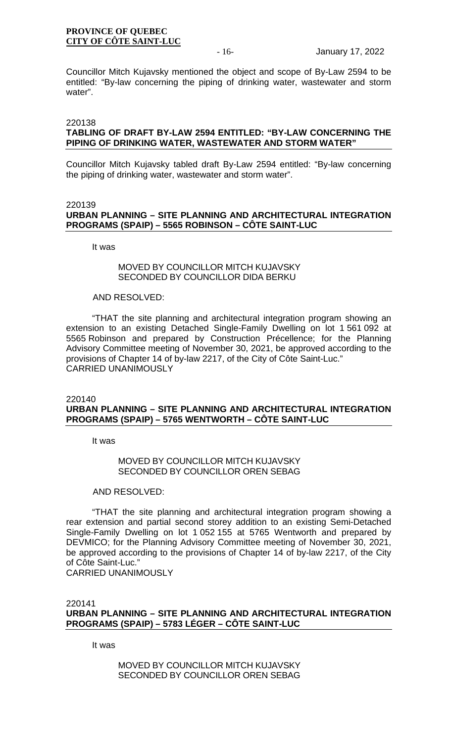Councillor Mitch Kujavsky mentioned the object and scope of By-Law 2594 to be entitled: "By-law concerning the piping of drinking water, wastewater and storm water".

### 220138

# **TABLING OF DRAFT BY-LAW 2594 ENTITLED: "BY-LAW CONCERNING THE PIPING OF DRINKING WATER, WASTEWATER AND STORM WATER"**

Councillor Mitch Kujavsky tabled draft By-Law 2594 entitled: "By-law concerning the piping of drinking water, wastewater and storm water".

#### 220139

# **URBAN PLANNING – SITE PLANNING AND ARCHITECTURAL INTEGRATION PROGRAMS (SPAIP) – 5565 ROBINSON – CÔTE SAINT-LUC**

It was

### MOVED BY COUNCILLOR MITCH KUJAVSKY SECONDED BY COUNCILLOR DIDA BERKU

#### AND RESOLVED:

"THAT the site planning and architectural integration program showing an extension to an existing Detached Single-Family Dwelling on lot 1 561 092 at 5565 Robinson and prepared by Construction Précellence; for the Planning Advisory Committee meeting of November 30, 2021, be approved according to the provisions of Chapter 14 of by-law 2217, of the City of Côte Saint-Luc." CARRIED UNANIMOUSLY

220140

### **URBAN PLANNING – SITE PLANNING AND ARCHITECTURAL INTEGRATION PROGRAMS (SPAIP) – 5765 WENTWORTH – CÔTE SAINT-LUC**

It was

### MOVED BY COUNCILLOR MITCH KUJAVSKY SECONDED BY COUNCILLOR OREN SEBAG

### AND RESOLVED:

"THAT the site planning and architectural integration program showing a rear extension and partial second storey addition to an existing Semi-Detached Single-Family Dwelling on lot 1 052 155 at 5765 Wentworth and prepared by DEVMICO; for the Planning Advisory Committee meeting of November 30, 2021, be approved according to the provisions of Chapter 14 of by-law 2217, of the City of Côte Saint-Luc." CARRIED UNANIMOUSLY

220141 **URBAN PLANNING – SITE PLANNING AND ARCHITECTURAL INTEGRATION PROGRAMS (SPAIP) – 5783 LÉGER – CÔTE SAINT-LUC** 

It was

MOVED BY COUNCILLOR MITCH KUJAVSKY SECONDED BY COUNCILLOR OREN SEBAG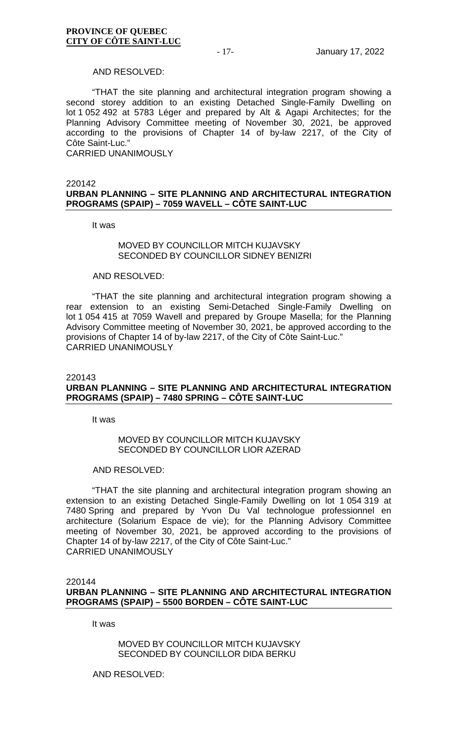### AND RESOLVED:

"THAT the site planning and architectural integration program showing a second storey addition to an existing Detached Single-Family Dwelling on lot 1 052 492 at 5783 Léger and prepared by Alt & Agapi Architectes; for the Planning Advisory Committee meeting of November 30, 2021, be approved according to the provisions of Chapter 14 of by-law 2217, of the City of Côte Saint-Luc."

CARRIED UNANIMOUSLY

### 220142 **URBAN PLANNING – SITE PLANNING AND ARCHITECTURAL INTEGRATION PROGRAMS (SPAIP) – 7059 WAVELL – CÔTE SAINT-LUC**

It was

### MOVED BY COUNCILLOR MITCH KUJJAVSKY SECONDED BY COUNCILLOR SIDNEY BENIZRI

### AND RESOLVED:

"THAT the site planning and architectural integration program showing a rear extension to an existing Semi-Detached Single-Family Dwelling on lot 1 054 415 at 7059 Wavell and prepared by Groupe Masella; for the Planning Advisory Committee meeting of November 30, 2021, be approved according to the provisions of Chapter 14 of by-law 2217, of the City of Côte Saint-Luc." CARRIED UNANIMOUSLY

### 220143

# **URBAN PLANNING – SITE PLANNING AND ARCHITECTURAL INTEGRATION PROGRAMS (SPAIP) – 7480 SPRING – CÔTE SAINT-LUC**

It was

### MOVED BY COUNCILLOR MITCH KUJAVSKY SECONDED BY COUNCILLOR LIOR AZERAD

### AND RESOLVED:

"THAT the site planning and architectural integration program showing an extension to an existing Detached Single-Family Dwelling on lot 1 054 319 at 7480 Spring and prepared by Yvon Du Val technologue professionnel en architecture (Solarium Espace de vie); for the Planning Advisory Committee meeting of November 30, 2021, be approved according to the provisions of Chapter 14 of by-law 2217, of the City of Côte Saint-Luc." CARRIED UNANIMOUSLY

220144 **URBAN PLANNING – SITE PLANNING AND ARCHITECTURAL INTEGRATION PROGRAMS (SPAIP) – 5500 BORDEN – CÔTE SAINT-LUC** 

It was

MOVED BY COUNCILLOR MITCH KUJAVSKY SECONDED BY COUNCILLOR DIDA BERKU

AND RESOLVED: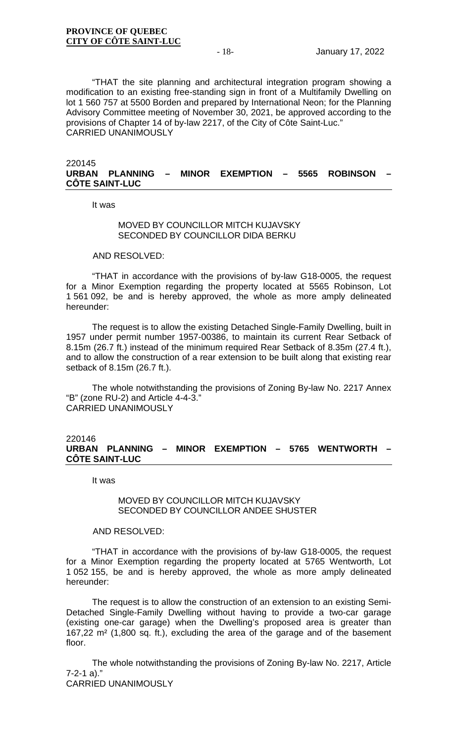"THAT the site planning and architectural integration program showing a modification to an existing free-standing sign in front of a Multifamily Dwelling on lot 1 560 757 at 5500 Borden and prepared by International Neon; for the Planning Advisory Committee meeting of November 30, 2021, be approved according to the provisions of Chapter 14 of by-law 2217, of the City of Côte Saint-Luc." CARRIED UNANIMOUSLY

### 220145 **URBAN PLANNING – MINOR EXEMPTION – 5565 ROBINSON – CÔTE SAINT-LUC**

It was

### MOVED BY COUNCILLOR MITCH KUJAVSKY SECONDED BY COUNCILLOR DIDA BERKU

AND RESOLVED:

"THAT in accordance with the provisions of by-law G18-0005, the request for a Minor Exemption regarding the property located at 5565 Robinson, Lot 1 561 092, be and is hereby approved, the whole as more amply delineated hereunder:

The request is to allow the existing Detached Single-Family Dwelling, built in 1957 under permit number 1957-00386, to maintain its current Rear Setback of 8.15m (26.7 ft.) instead of the minimum required Rear Setback of 8.35m (27.4 ft.), and to allow the construction of a rear extension to be built along that existing rear setback of 8.15m (26.7 ft.).

The whole notwithstanding the provisions of Zoning By-law No. 2217 Annex "B" (zone RU-2) and Article 4-4-3." CARRIED UNANIMOUSLY

### 220146 **URBAN PLANNING – MINOR EXEMPTION – 5765 WENTWORTH – CÔTE SAINT-LUC**

It was

### MOVED BY COUNCILLOR MITCH KUJAVSKY SECONDED BY COUNCILLOR ANDEE SHUSTER

### AND RESOLVED:

"THAT in accordance with the provisions of by-law G18-0005, the request for a Minor Exemption regarding the property located at 5765 Wentworth, Lot 1 052 155, be and is hereby approved, the whole as more amply delineated hereunder:

The request is to allow the construction of an extension to an existing Semi-Detached Single-Family Dwelling without having to provide a two-car garage (existing one-car garage) when the Dwelling's proposed area is greater than 167,22 m² (1,800 sq. ft.), excluding the area of the garage and of the basement floor.

The whole notwithstanding the provisions of Zoning By-law No. 2217, Article 7-2-1 a)."

CARRIED UNANIMOUSLY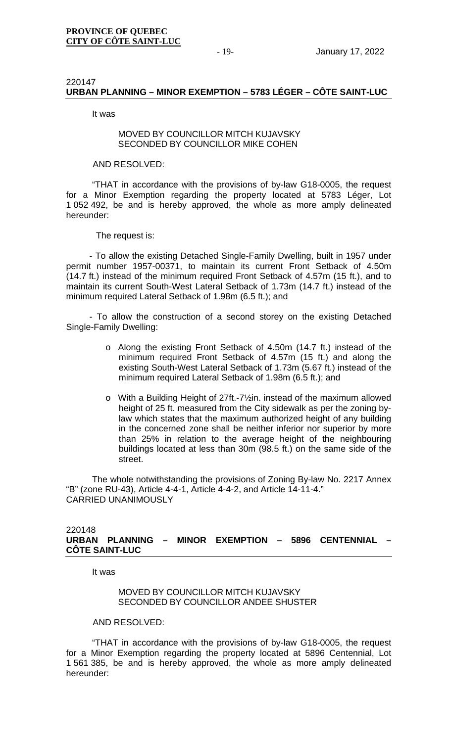# 220147 **URBAN PLANNING – MINOR EXEMPTION – 5783 LÉGER – CÔTE SAINT-LUC**

It was

# MOVED BY COUNCILLOR MITCH KUJAVSKY SECONDED BY COUNCILLOR MIKE COHEN

### AND RESOLVED:

"THAT in accordance with the provisions of by-law G18-0005, the request for a Minor Exemption regarding the property located at 5783 Léger, Lot 1 052 492, be and is hereby approved, the whole as more amply delineated hereunder:

## The request is:

- To allow the existing Detached Single-Family Dwelling, built in 1957 under permit number 1957-00371, to maintain its current Front Setback of 4.50m (14.7 ft.) instead of the minimum required Front Setback of 4.57m (15 ft.), and to maintain its current South-West Lateral Setback of 1.73m (14.7 ft.) instead of the minimum required Lateral Setback of 1.98m (6.5 ft.); and

- To allow the construction of a second storey on the existing Detached Single-Family Dwelling:

- o Along the existing Front Setback of 4.50m (14.7 ft.) instead of the minimum required Front Setback of 4.57m (15 ft.) and along the existing South-West Lateral Setback of 1.73m (5.67 ft.) instead of the minimum required Lateral Setback of 1.98m (6.5 ft.); and
- o With a Building Height of 27ft.-7½in. instead of the maximum allowed height of 25 ft. measured from the City sidewalk as per the zoning bylaw which states that the maximum authorized height of any building in the concerned zone shall be neither inferior nor superior by more than 25% in relation to the average height of the neighbouring buildings located at less than 30m (98.5 ft.) on the same side of the street.

The whole notwithstanding the provisions of Zoning By-law No. 2217 Annex "B" (zone RU-43), Article 4-4-1, Article 4-4-2, and Article 14-11-4." CARRIED UNANIMOUSLY

### 220148 **URBAN PLANNING – MINOR EXEMPTION – 5896 CENTENNIAL – CÔTE SAINT-LUC**

It was

MOVED BY COUNCILLOR MITCH KUJAVSKY SECONDED BY COUNCILLOR ANDEE SHUSTER

AND RESOLVED:

"THAT in accordance with the provisions of by-law G18-0005, the request for a Minor Exemption regarding the property located at 5896 Centennial, Lot 1 561 385, be and is hereby approved, the whole as more amply delineated hereunder: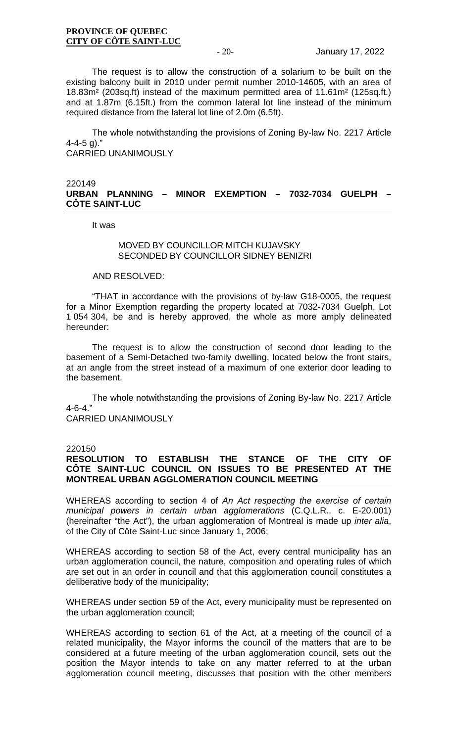The request is to allow the construction of a solarium to be built on the existing balcony built in 2010 under permit number 2010-14605, with an area of 18.83m² (203sq.ft) instead of the maximum permitted area of 11.61m² (125sq.ft.) and at 1.87m (6.15ft.) from the common lateral lot line instead of the minimum required distance from the lateral lot line of 2.0m (6.5ft).

The whole notwithstanding the provisions of Zoning By-law No. 2217 Article  $4 - 4 - 5$  g)." CARRIED UNANIMOUSLY

### 220149 **URBAN PLANNING – MINOR EXEMPTION – 7032-7034 GUELPH – CÔTE SAINT-LUC**

It was

### MOVED BY COUNCILLOR MITCH KUJJAVSKY SECONDED BY COUNCILLOR SIDNEY BENIZRI

### AND RESOLVED:

"THAT in accordance with the provisions of by-law G18-0005, the request for a Minor Exemption regarding the property located at 7032-7034 Guelph, Lot 1 054 304, be and is hereby approved, the whole as more amply delineated hereunder:

The request is to allow the construction of second door leading to the basement of a Semi-Detached two-family dwelling, located below the front stairs, at an angle from the street instead of a maximum of one exterior door leading to the basement.

The whole notwithstanding the provisions of Zoning By-law No. 2217 Article 4-6-4."

CARRIED UNANIMOUSLY

### 220150

# **RESOLUTION TO ESTABLISH THE STANCE OF THE CITY OF CÔTE SAINT-LUC COUNCIL ON ISSUES TO BE PRESENTED AT THE MONTREAL URBAN AGGLOMERATION COUNCIL MEETING**

WHEREAS according to section 4 of *An Act respecting the exercise of certain municipal powers in certain urban agglomerations* (C.Q.L.R., c. E-20.001) (hereinafter "the Act"), the urban agglomeration of Montreal is made up *inter alia*, of the City of Côte Saint-Luc since January 1, 2006;

WHEREAS according to section 58 of the Act, every central municipality has an urban agglomeration council, the nature, composition and operating rules of which are set out in an order in council and that this agglomeration council constitutes a deliberative body of the municipality;

WHEREAS under section 59 of the Act, every municipality must be represented on the urban agglomeration council;

WHEREAS according to section 61 of the Act, at a meeting of the council of a related municipality, the Mayor informs the council of the matters that are to be considered at a future meeting of the urban agglomeration council, sets out the position the Mayor intends to take on any matter referred to at the urban agglomeration council meeting, discusses that position with the other members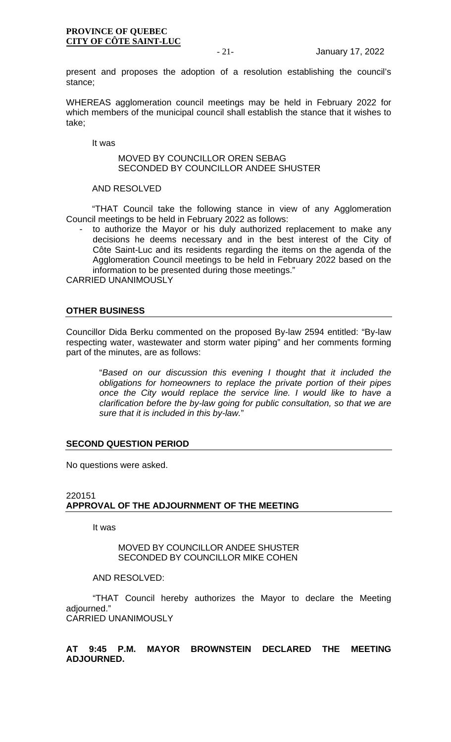present and proposes the adoption of a resolution establishing the council's stance;

WHEREAS agglomeration council meetings may be held in February 2022 for which members of the municipal council shall establish the stance that it wishes to take;

It was

### MOVED BY COUNCILLOR OREN SEBAG SECONDED BY COUNCILLOR ANDEE SHUSTER

# AND RESOLVED

"THAT Council take the following stance in view of any Agglomeration Council meetings to be held in February 2022 as follows:

to authorize the Mayor or his duly authorized replacement to make any decisions he deems necessary and in the best interest of the City of Côte Saint-Luc and its residents regarding the items on the agenda of the Agglomeration Council meetings to be held in February 2022 based on the information to be presented during those meetings."

CARRIED UNANIMOUSLY

# **OTHER BUSINESS**

Councillor Dida Berku commented on the proposed By-law 2594 entitled: "By-law respecting water, wastewater and storm water piping" and her comments forming part of the minutes, are as follows:

> "*Based on our discussion this evening I thought that it included the obligations for homeowners to replace the private portion of their pipes once the City would replace the service line. I would like to have a clarification before the by-law going for public consultation, so that we are sure that it is included in this by-law.*"

# **SECOND QUESTION PERIOD**

No questions were asked.

### 220151 **APPROVAL OF THE ADJOURNMENT OF THE MEETING**

It was

MOVED BY COUNCILLOR ANDEE SHUSTER SECONDED BY COUNCILLOR MIKE COHEN

AND RESOLVED:

"THAT Council hereby authorizes the Mayor to declare the Meeting adjourned." CARRIED UNANIMOUSLY

**AT 9:45 P.M. MAYOR BROWNSTEIN DECLARED THE MEETING ADJOURNED.**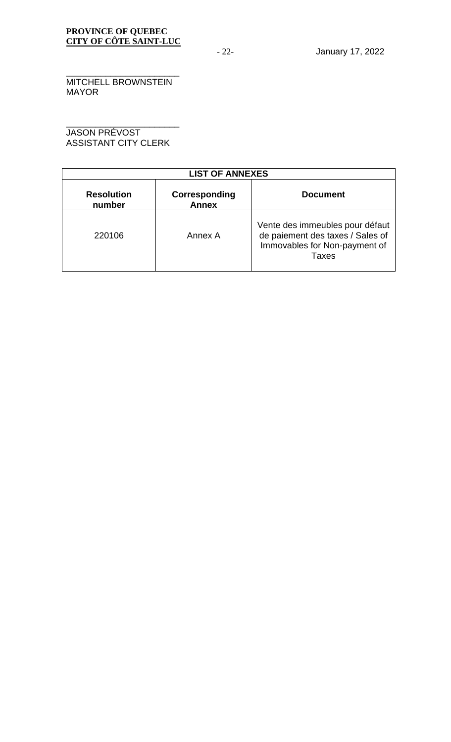\_\_\_\_\_\_\_\_\_\_\_\_\_\_\_\_\_\_\_\_\_\_\_ MITCHELL BROWNSTEIN MAYOR

\_\_\_\_\_\_\_\_\_\_\_\_\_\_\_\_\_\_\_\_\_\_\_ JASON PRÉVOST ASSISTANT CITY CLERK

| <b>LIST OF ANNEXES</b>      |                               |                                                                                                               |  |  |  |  |
|-----------------------------|-------------------------------|---------------------------------------------------------------------------------------------------------------|--|--|--|--|
| <b>Resolution</b><br>number | Corresponding<br><b>Annex</b> | <b>Document</b>                                                                                               |  |  |  |  |
| 220106                      | Annex A                       | Vente des immeubles pour défaut<br>de paiement des taxes / Sales of<br>Immovables for Non-payment of<br>Taxes |  |  |  |  |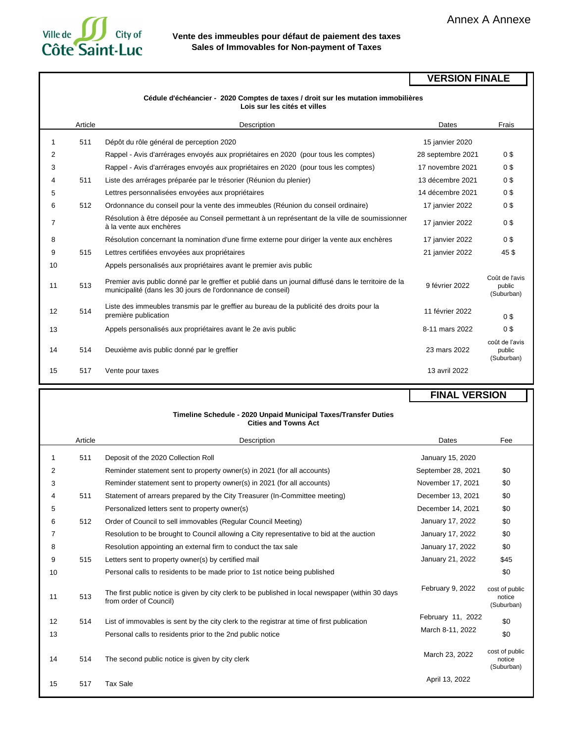# Ville de  $\Box$ City of **Côte Saint-Luc**

### **Vente des immeubles pour défaut de paiement des taxes Sales of Immovables for Non-payment of Taxes**

### **VERSION FINALE**

#### **Cédule d'échéancier - 2020 Comptes de taxes / droit sur les mutation immobilières Lois sur les cités et villes**

|    | Article | Description                                                                                                                                                         | Dates             | Frais                                  |
|----|---------|---------------------------------------------------------------------------------------------------------------------------------------------------------------------|-------------------|----------------------------------------|
| 1  | 511     | Dépôt du rôle général de perception 2020                                                                                                                            | 15 janvier 2020   |                                        |
| 2  |         | Rappel - Avis d'arrérages envoyés aux propriétaires en 2020 (pour tous les comptes)                                                                                 | 28 septembre 2021 | 0\$                                    |
| 3  |         | Rappel - Avis d'arrérages envoyés aux propriétaires en 2020 (pour tous les comptes)                                                                                 | 17 novembre 2021  | 0\$                                    |
| 4  | 511     | Liste des arrérages préparée par le trésorier (Réunion du plenier)                                                                                                  | 13 décembre 2021  | 0\$                                    |
| 5  |         | Lettres personnalisées envoyées aux propriétaires                                                                                                                   | 14 décembre 2021  | 0\$                                    |
| 6  | 512     | Ordonnance du conseil pour la vente des immeubles (Réunion du conseil ordinaire)                                                                                    | 17 janvier 2022   | 0\$                                    |
| 7  |         | Résolution à être déposée au Conseil permettant à un représentant de la ville de soumissionner<br>à la vente aux enchères                                           | 17 janvier 2022   | 0S                                     |
| 8  |         | Résolution concernant la nomination d'une firme externe pour diriger la vente aux enchères                                                                          | 17 janvier 2022   | 0\$                                    |
| 9  | 515     | Lettres certifiées envoyées aux propriétaires                                                                                                                       | 21 janvier 2022   | 45\$                                   |
| 10 |         | Appels personalisés aux propriétaires avant le premier avis public                                                                                                  |                   |                                        |
| 11 | 513     | Premier avis public donné par le greffier et publié dans un journal diffusé dans le territoire de la<br>municipalité (dans les 30 jours de l'ordonnance de conseil) | 9 février 2022    | Coût de l'avis<br>public<br>(Suburban) |
| 12 | 514     | Liste des immeubles transmis par le greffier au bureau de la publicité des droits pour la<br>première publication                                                   | 11 février 2022   | 0S                                     |
| 13 |         | Appels personalisés aux propriétaires avant le 2e avis public                                                                                                       | 8-11 mars 2022    | 0\$                                    |
| 14 | 514     | Deuxième avis public donné par le greffier                                                                                                                          | 23 mars 2022      | coût de l'avis<br>public<br>(Suburban) |
| 15 | 517     | Vente pour taxes                                                                                                                                                    | 13 avril 2022     |                                        |

#### **FINAL VERSION**

#### **Timeline Schedule - 2020 Unpaid Municipal Taxes/Transfer Duties Cities and Towns Act**

|    | Article | Description<br>Dates                                                                                                        |                    | Fee                                    |
|----|---------|-----------------------------------------------------------------------------------------------------------------------------|--------------------|----------------------------------------|
|    | 511     | Deposit of the 2020 Collection Roll                                                                                         | January 15, 2020   |                                        |
| 2  |         | Reminder statement sent to property owner(s) in 2021 (for all accounts)                                                     | September 28, 2021 | \$0                                    |
| 3  |         | Reminder statement sent to property owner(s) in 2021 (for all accounts)                                                     | November 17, 2021  | \$0                                    |
| 4  | 511     | Statement of arrears prepared by the City Treasurer (In-Committee meeting)                                                  | December 13, 2021  | \$0                                    |
| 5  |         | Personalized letters sent to property owner(s)                                                                              | December 14, 2021  | \$0                                    |
| 6  | 512     | Order of Council to sell immovables (Regular Council Meeting)                                                               | January 17, 2022   | \$0                                    |
| 7  |         | Resolution to be brought to Council allowing a City representative to bid at the auction                                    | January 17, 2022   | \$0                                    |
| 8  |         | Resolution appointing an external firm to conduct the tax sale                                                              | January 17, 2022   | \$0                                    |
| 9  | 515     | Letters sent to property owner(s) by certified mail                                                                         | January 21, 2022   | \$45                                   |
| 10 |         | Personal calls to residents to be made prior to 1st notice being published                                                  |                    | \$0                                    |
| 11 | 513     | The first public notice is given by city clerk to be published in local newspaper (within 30 days<br>from order of Council) | February 9, 2022   | cost of public<br>notice<br>(Suburban) |
| 12 | 514     | List of immovables is sent by the city clerk to the registrar at time of first publication                                  | February 11, 2022  | \$0                                    |
| 13 |         | Personal calls to residents prior to the 2nd public notice                                                                  | March 8-11, 2022   | \$0                                    |
| 14 | 514     | The second public notice is given by city clerk                                                                             | March 23, 2022     | cost of public<br>notice<br>(Suburban) |
| 15 | 517     | <b>Tax Sale</b>                                                                                                             | April 13, 2022     |                                        |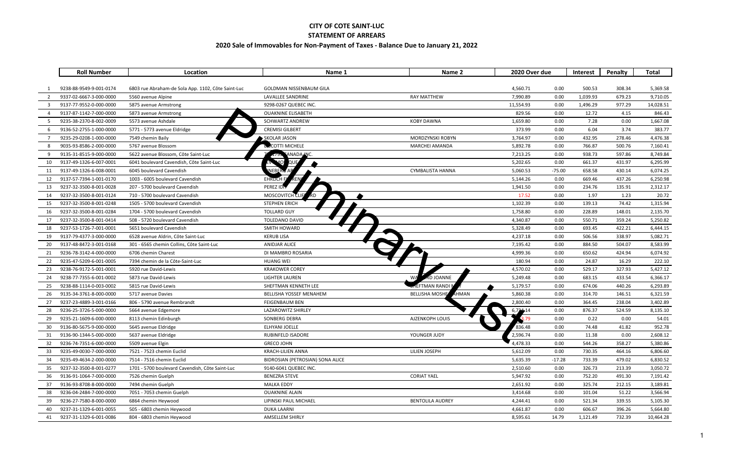#### **CITY OF COTE SAINT-LUC**

#### **STATEMENT OF ARREARS**

#### **2020 Sale of Immovables for Non-Payment of Taxes - Balance Due to January 21, 2022**

|                | <b>Roll Number</b>      | Location                                           | Name 1                           | Name 2                        | 2020 Over due |          | Interest | Penalty | <b>Total</b> |
|----------------|-------------------------|----------------------------------------------------|----------------------------------|-------------------------------|---------------|----------|----------|---------|--------------|
|                |                         |                                                    |                                  |                               |               |          |          |         |              |
|                | 9238-88-9549-9-001-0174 | 6803 rue Abraham-de Sola App. 1102, Côte Saint-Luc | <b>GOLDMAN NISSENBAUM GILA</b>   |                               | 4,560.71      | 0.00     | 500.53   | 308.34  | 5,369.58     |
| 2              | 9337-02-6667-3-000-0000 | 5560 avenue Alpine                                 | LAVALLEE SANDRINE                | <b>RAY MATTHEW</b>            | 7,990.89      | 0.00     | 1,039.93 | 679.23  | 9,710.05     |
| 3              | 9137-77-9552-0-000-0000 | 5875 avenue Armstrong                              | 9298-0267 QUEBEC INC.            |                               | 11,554.93     | 0.00     | 1,496.29 | 977.29  | 14,028.51    |
| $\overline{4}$ | 9137-87-1142-7-000-0000 | 5873 avenue Armstrong                              | <b>OUAKNINE ELISABETH</b>        |                               | 829.56        | 0.00     | 12.72    | 4.15    | 846.43       |
| 5              | 9235-38-2370-8-002-0009 | 5573 avenue Ashdale                                | <b>SCHWARTZ ANDREW</b>           | <b>KOBY DAWNA</b>             | 1,659.80      | 0.00     | 7.28     | 0.00    | 1,667.08     |
| 6              | 9136-52-2755-1-000-0000 | 5771 - 5773 avenue Eldridge                        | <b>CREMISI GILBERT</b>           |                               | 373.99        | 0.00     | 6.04     | 3.74    | 383.77       |
| $\overline{7}$ | 9235-29-0208-1-000-0000 | 7549 chemin Baily                                  | SKOLAR JASON                     | MORDZYNSKI ROBYN              | 3,764.97      | 0.00     | 432.95   | 278.46  | 4,476.38     |
| 8              | 9035-93-8586-2-000-0000 | 5767 avenue Blossom                                | <b>B</b> COTTI MICHELE           | <b>MARCHEI AMANDA</b>         | 5,892.78      | 0.00     | 766.87   | 500.76  | 7,160.41     |
| 9              | 9135-31-8515-9-000-0000 | 5622 avenue Blossom, Côte Saint-Luc                | ANADA INC.                       |                               | 7,213.25      | 0.00     | 938.73   | 597.86  | 8,749.84     |
| 10             | 9137-49-1326-6-007-0001 | 6041 boulevard Cavendish, Côte Saint-Luc           |                                  |                               | 5,202.65      | 0.00     | 661.37   | 431.97  | 6,295.99     |
| 11             | 9137-49-1326-6-008-0001 | 6045 boulevard Cavendish                           |                                  | <b>CYMBALISTA HANNA</b>       | 5,060.53      | $-75.00$ | 658.58   | 430.14  | 6,074.25     |
| 12             | 9137-57-7394-1-001-0170 | 1003 - 6005 boulevard Cavendish                    | <b>EHRLICH</b>                   |                               | 5,144.26      | 0.00     | 669.46   | 437.26  | 6,250.98     |
| 13             | 9237-32-3500-8-001-0028 | 207 - 5700 boulevard Cavendish                     | PEREZ ID                         |                               | 1,941.50      | 0.00     | 234.76   | 135.91  | 2,312.17     |
| 14             | 9237-32-3500-8-001-0124 | 710 - 5700 boulevard Cavendish                     | <b>MOSCOVITCH</b>                |                               | 17.52         | 0.00     | 1.97     | 1.23    | 20.72        |
| 15             | 9237-32-3500-8-001-0248 | 1505 - 5700 boulevard Cavendish                    | <b>STEPHEN ERICH</b>             |                               | 1,102.39      | 0.00     | 139.13   | 74.42   | 1,315.94     |
| 16             | 9237-32-3500-8-001-0284 | 1704 - 5700 boulevard Cavendish                    | <b>TOLLARD GUY</b>               |                               | 1,758.80      | 0.00     | 228.89   | 148.01  | 2,135.70     |
| 17             | 9237-32-3500-8-001-0414 | 508 - 5720 boulevard Cavendish                     | TOLEDANO DAVID                   |                               | 4,340.87      | 0.00     | 550.71   | 359.24  | 5,250.82     |
| 18             | 9237-53-1726-7-001-0001 | 5651 boulevard Cavendish                           | SMITH HOWARD                     |                               | 5,328.49      | 0.00     | 693.45   | 422.21  | 6,444.15     |
| 19             | 9137-79-4377-3-000-0000 | 6528 avenue Aldrin, Côte Saint-Luc                 | <b>KERUB LISA</b>                |                               | 4,237.18      | 0.00     | 506.56   | 338.97  | 5,082.71     |
| 20             | 9137-48-8472-3-001-0168 | 301 - 6565 chemin Collins, Côte Saint-Luc          | <b>ANIDJAR ALICE</b>             |                               | 7,195.42      | 0.00     | 884.50   | 504.07  | 8,583.99     |
| 21             | 9236-78-3142-4-000-0000 | 6706 chemin Charest                                | DI MAMBRO ROSARIA                |                               | 4,999.36      | 0.00     | 650.62   | 424.94  | 6,074.92     |
| 22             | 9235-47-5209-6-001-0005 | 7394 chemin de la Côte-Saint-Luc                   | <b>HUANG WEI</b>                 |                               | 180.94        | 0.00     | 24.87    | 16.29   | 222.10       |
| 23             | 9238-76-9172-5-001-0001 | 5920 rue David-Lewis                               | <b>KRAKOWER COREY</b>            |                               | 4,570.02      | 0.00     | 529.17   | 327.93  | 5,427.12     |
| 24             | 9238-77-7355-6-001-0002 | 5873 rue David-Lewis                               | LIGHTER LAUREN                   | D JOANNE<br><b>WA</b>         | 5,249.48      | 0.00     | 683.15   | 433.54  | 6,366.17     |
| 25             | 9238-88-1114-0-003-0002 | 5815 rue David-Lewis                               | SHEFTMAN KENNETH LEE             | <b>EFTMAN RANDI I</b>         | 5,179.57      | 0.00     | 674.06   | 440.26  | 6,293.89     |
| 26             | 9135-34-3761-8-000-0000 | 5717 avenue Davies                                 | <b>BELLISHA YOSSEF MENAHEM</b>   | <b>BELLISHA MOSHI</b><br>HMAN | 5,860.38      | 0.00     | 314.70   | 146.51  | 6,321.59     |
| 27             | 9237-23-4889-3-001-0166 | 806 - 5790 avenue Rembrandt                        | <b>FEIGENBAUM BEN</b>            |                               | 2,800.40      | 0.00     | 364.45   | 238.04  | 3,402.89     |
| 28             | 9236-25-3726-5-000-0000 | 5664 avenue Edgemore                               | <b>LAZAROWITZ SHIRLEY</b>        |                               | $6,724 - 14$  | 0.00     | 876.37   | 524.59  | 8,135.10     |
| 29             | 9235-21-1609-6-000-0000 | 8113 chemin Edinburgh                              | SONBERG DEBRA                    | AJZENKOPH LOUIS               | 3.79          | 0.00     | 0.22     | 0.00    | 54.01        |
| 30             | 9136-80-5675-9-000-0000 | 5645 avenue Eldridge                               | ELHYANI JOELLE                   |                               | 836.48        | 0.00     | 74.48    | 41.82   | 952.78       |
| 31             | 9136-90-1344-5-000-0000 | 5637 avenue Eldridge                               | RUBINFELD ISADORE                | YOUNGER JUDY                  | 2,596.74      | 0.00     | 11.38    | 0.00    | 2,608.12     |
| 32             | 9236-74-7351-6-000-0000 | 5509 avenue Elgin                                  | <b>GRECO JOHN</b>                |                               | 4,478.33      | 0.00     | 544.26   | 358.27  | 5,380.86     |
| 33             | 9235-49-0030-7-000-0000 | 7521 - 7523 chemin Euclid                          | <b>KRACH-LILIEN ANNA</b>         | LILIEN JOSEPH                 | 5,612.09      | 0.00     | 730.35   | 464.16  | 6,806.60     |
| 34             | 9235-49-4634-2-000-0000 | 7514 - 7516 chemin Euclid                          | BIDROSIAN (PETROSIAN) SONA ALICE |                               | 5,635.39      | $-17.28$ | 733.39   | 479.02  | 6,830.52     |
| 35             | 9237-32-3500-8-001-0277 | 1701 - 5700 boulevard Cavendish, Côte Saint-Luc    | 9140-6041 QUEBEC INC.            |                               | 2,510.60      | 0.00     | 326.73   | 213.39  | 3,050.72     |
| 36             | 9136-91-1064-7-000-0000 | 7526 chemin Guelph                                 | <b>BENEZRA STEVE</b>             | <b>CORIAT YAEL</b>            | 5,947.92      | 0.00     | 752.20   | 491.30  | 7,191.42     |
| 37             | 9136-93-8708-8-000-0000 | 7494 chemin Guelph                                 | <b>MALKA EDDY</b>                |                               | 2,651.92      | 0.00     | 325.74   | 212.15  | 3,189.81     |
| 38             | 9236-04-2484-7-000-0000 | 7051 - 7053 chemin Guelph                          | <b>OUAKNINE ALAIN</b>            |                               | 3,414.68      | 0.00     | 101.04   | 51.22   | 3,566.94     |
| 39             | 9236-27-7580-8-000-0000 | 6864 chemin Heywood                                | LIPINSKI PAUL MICHAEL            | <b>BENTOLILA AUDREY</b>       | 4,244.41      | 0.00     | 521.34   | 339.55  | 5,105.30     |
| 40             | 9237-31-1329-6-001-0055 | 505 - 6803 chemin Heywood                          | <b>DUKA LAARNI</b>               |                               | 4,661.87      | 0.00     | 606.67   | 396.26  | 5,664.80     |
| 41             | 9237-31-1329-6-001-0086 | 804 - 6803 chemin Heywood                          | AMSELLEM SHIRLY                  |                               | 8,595.61      | 14.79    | 1,121.49 | 732.39  | 10,464.28    |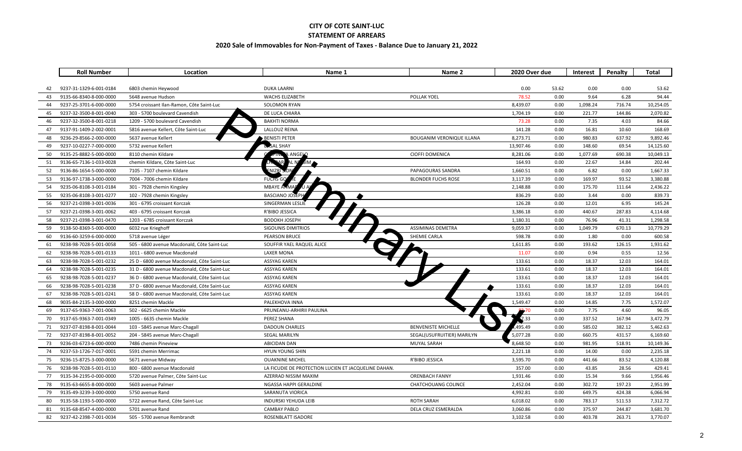#### **CITY OF COTE SAINT-LUC**

#### **STATEMENT OF ARREARS**

#### **2020 Sale of Immovables for Non-Payment of Taxes - Balance Due to January 21, 2022**

|    | <b>Roll Number</b>      | Location                                     | Name 1                                               | Name 2                           | 2020 Over due |       | Interest | Penalty | <b>Total</b> |
|----|-------------------------|----------------------------------------------|------------------------------------------------------|----------------------------------|---------------|-------|----------|---------|--------------|
|    |                         |                                              |                                                      |                                  |               |       |          |         |              |
| 42 | 9237-31-1329-6-001-0184 | 6803 chemin Heywood                          | <b>DUKA LAARNI</b>                                   |                                  | 0.00          | 53.62 | 0.00     | 0.00    | 53.62        |
| 43 | 9135-66-8340-8-000-0000 | 5648 avenue Hudson                           | <b>WACHS ELIZABETH</b>                               | POLLAK YOEL                      | 78.52         | 0.00  | 9.64     | 6.28    | 94.44        |
| 44 | 9237-25-3701-6-000-0000 | 5754 croissant Ilan-Ramon, Côte Saint-Luc    | <b>SOLOMON RYAN</b>                                  |                                  | 8,439.07      | 0.00  | 1,098.24 | 716.74  | 10,254.05    |
| 45 | 9237-32-3500-8-001-0040 | 303 - 5700 boulevard Cavendish               | DE LUCA CHIARA                                       |                                  | 1,704.19      | 0.00  | 221.77   | 144.86  | 2,070.82     |
| 46 | 9237-32-3500-8-001-0218 | 1209 - 5700 boulevard Cavendish              | <b>BAKHTI NORMA</b>                                  |                                  | 73.28         | 0.00  | 7.35     | 4.03    | 84.66        |
| 47 | 9137-91-1409-2-002-0001 | 5816 avenue Kellert, Côte Saint-Luc          | LALLOUZ REINA                                        |                                  | 141.28        | 0.00  | 16.81    | 10.60   | 168.69       |
| 48 | 9236-29-8566-2-000-0000 | 5637 avenue Kellert                          | <b>BENISTI PETER</b>                                 | <b>BOUGANIM VERONIQUE ILLANA</b> | 8,273.71      | 0.00  | 980.83   | 637.92  | 9,892.46     |
| 49 | 9237-10-0227-7-000-0000 | 5732 avenue Kellert                          | <b>B</b> <sub>2</sub> SAL SHAY                       |                                  | 13,907.46     | 0.00  | 148.60   | 69.54   | 14,125.60    |
| 50 | 9135-25-8882-5-000-0000 | 8110 chemin Kildare                          | ANGELO                                               | <b>CIOFFI DOMENICA</b>           | 8,281.06      | 0.00  | 1,077.69 | 690.38  | 10,049.13    |
| 51 | 9136-65-7136-1-033-0028 | chemin Kildare, Côte Saint-Luc               |                                                      |                                  | 164.93        | 0.00  | 22.67    | 14.84   | 202.44       |
| 52 | 9136-86-1654-5-000-0000 | 7105 - 7107 chemin Kildare                   |                                                      | PAPAGOURAS SANDRA                | 1,660.51      | 0.00  | 6.82     | 0.00    | 1,667.33     |
| 53 | 9136-97-1738-3-000-0000 | 7004 - 7006 chemin Kildare                   | <b>FUCHS</b>                                         | <b>BLONDER FUCHS ROSE</b>        | 3,117.39      | 0.00  | 169.97   | 93.52   | 3,380.88     |
| 54 | 9235-06-8108-3-001-0184 | 301 - 7928 chemin Kingsley                   | MBAYE /                                              |                                  | 2,148.88      | 0.00  | 175.70   | 111.64  | 2,436.22     |
| 55 | 9235-06-8108-3-001-0277 | 102 - 7928 chemin Kingsley                   | BASCIANO JOST                                        |                                  | 836.29        | 0.00  | 3.44     | 0.00    | 839.73       |
| 56 | 9237-21-0398-3-001-0036 | 301 - 6795 croissant Korczak                 | SINGERMAN LESLIE                                     |                                  | 126.28        | 0.00  | 12.01    | 6.95    | 145.24       |
| 57 | 9237-21-0398-3-001-0062 | 403 - 6795 croissant Korczak                 | R'BIBO JESSICA                                       |                                  | 3,386.18      | 0.00  | 440.67   | 287.83  | 4,114.68     |
| 58 | 9237-21-0398-3-001-0470 | 1203 - 6785 croissant Korczak                | <b>BODOKH JOSEPH</b>                                 |                                  | 1,180.31      | 0.00  | 76.96    | 41.31   | 1,298.58     |
| 59 | 9138-50-8369-5-000-0000 | 6032 rue Krieghoff                           | <b>SIGOUNIS DIMITRIOS</b>                            | ASSIMINAS DEMETRA                | 9,059.37      | 0.00  | 1,049.79 | 670.13  | 10,779.29    |
| 60 | 9136-60-3259-6-000-0000 | 5718 avenue Léger                            | <b>PEARSON BRUCE</b>                                 | SHEMIE CARLA                     | 598.78        | 0.00  | 1.80     | 0.00    | 600.58       |
| 61 | 9238-98-7028-5-001-0058 | 505 - 6800 avenue Macdonald, Côte Saint-Luc  | SOUFFIR YAEL RAQUEL ALICE                            |                                  | 1,611.85      | 0.00  | 193.62   | 126.15  | 1,931.62     |
| 62 | 9238-98-7028-5-001-0133 | 1011 - 6800 avenue Macdonald                 | <b>LAXER MONA</b>                                    |                                  | 11.07         | 0.00  | 0.94     | 0.55    | 12.56        |
| 63 | 9238-98-7028-5-001-0232 | 25 D - 6800 avenue Macdonald, Côte Saint-Luc | <b>ASSYAG KAREN</b>                                  |                                  | 133.61        | 0.00  | 18.37    | 12.03   | 164.01       |
| 64 | 9238-98-7028-5-001-0235 | 31 D - 6800 avenue Macdonald, Côte Saint-Luc | <b>ASSYAG KAREN</b>                                  |                                  | 133.61        | 0.00  | 18.37    | 12.03   | 164.01       |
| 65 | 9238-98-7028-5-001-0237 | 36 D - 6800 avenue Macdonald, Côte Saint-Luc | <b>ASSYAG KAREN</b>                                  |                                  | 133.61        | 0.00  | 18.37    | 12.03   | 164.01       |
| 66 | 9238-98-7028-5-001-0238 | 37 D - 6800 avenue Macdonald, Côte Saint-Luc | <b>ASSYAG KAREN</b>                                  |                                  | 133.61        | 0.00  | 18.37    | 12.03   | 164.01       |
| 67 | 9238-98-7028-5-001-0241 | 58 D - 6800 avenue Macdonald, Côte Saint-Luc | ASSYAG KAREN                                         |                                  | 133.61        | 0.00  | 18.37    | 12.03   | 164.01       |
| 68 | 9035-84-2135-3-000-0000 | 8251 chemin Mackle                           | PALEKHOVA INNA                                       |                                  | 1,549.47      | 0.00  | 14.85    | 7.75    | 1,572.07     |
| 69 | 9137-65-9363-7-001-0063 | 502 - 6625 chemin Mackle                     | PRUNEANU-ARHIRII PAULINA                             |                                  |               | 0.00  | 7.75     | 4.60    | 96.05        |
| 70 | 9137-65-9363-7-001-0349 | 1005 - 6635 chemin Mackle                    | PEREZ SHANA                                          |                                  | 7.33          | 0.00  | 337.52   | 167.94  | 3,472.79     |
| 71 | 9237-07-8198-8-001-0044 | 103 - 5845 avenue Marc-Chagall               | <b>DADOUN CHARLES</b>                                | <b>BENVENISTE MICHELLE</b>       | 495.49        | 0.00  | 585.02   | 382.12  | 5,462.63     |
| 72 | 9237-07-8198-8-001-0052 | 204 - 5845 avenue Marc-Chagall               | SEGAL MARILYN                                        | SEGAL(USUFRUITIER) MARILYN       | 5,077.28      | 0.00  | 660.75   | 431.57  | 6,169.60     |
| 73 | 9236-03-6723-6-000-0000 | 7486 chemin Pineview                         | <b>ABICIDAN DAN</b>                                  | MUYAL SARAH                      | 8,648.50      | 0.00  | 981.95   | 518.91  | 10,149.36    |
| 74 | 9237-53-1726-7-017-0001 | 5591 chemin Merrimac                         | HYUN YOUNG SHIN                                      |                                  | 2,221.18      | 0.00  | 14.00    | 0.00    | 2,235.18     |
| 75 | 9236-15-8725-3-000-0000 | 5671 avenue Midway                           | <b>OUAKNINE MICHEL</b>                               | R'BIBO JESSICA                   | 3,595.70      | 0.00  | 441.66   | 83.52   | 4,120.88     |
| 76 | 9238-98-7028-5-001-0110 | 800 - 6800 avenue Macdonald                  | LA FICUDIE DE PROTECTION LUCIEN ET JACQUELINE DAHAN. |                                  | 357.00        | 0.00  | 43.85    | 28.56   | 429.41       |
| 77 | 9135-34-2195-0-000-0000 | 5720 avenue Palmer, Côte Saint-Luc           | AZERRAD NISSIM MAXIM                                 | <b>ORENBACH FANNY</b>            | 1,931.46      | 0.00  | 15.34    | 9.66    | 1,956.46     |
| 78 | 9135-63-6655-8-000-0000 | 5603 avenue Palmer                           | NGASSA HAPPI GERALDINE                               | <b>CHATCHOUANG COLINCE</b>       | 2,452.04      | 0.00  | 302.72   | 197.23  | 2,951.99     |
| 79 | 9135-49-3239-3-000-0000 | 5750 avenue Rand                             | SARANUTA VIORICA                                     |                                  | 4,992.81      | 0.00  | 649.75   | 424.38  | 6,066.94     |
| 80 | 9135-58-1193-5-000-0000 | 5722 avenue Rand, Côte Saint-Luc             | <b>INDURSKI YEHUDA LEIB</b>                          | <b>ROTH SARAH</b>                | 6,018.02      | 0.00  | 783.17   | 511.53  | 7,312.72     |
| 81 | 9135-68-8547-4-000-0000 | 5701 avenue Rand                             | <b>CAMBAY PABLO</b>                                  | DELA CRUZ ESMERALDA              | 3,060.86      | 0.00  | 375.97   | 244.87  | 3,681.70     |
| 82 | 9237-42-2398-7-001-0034 | 505 - 5700 avenue Rembrandt                  | ROSENBLATT ISADORE                                   |                                  | 3,102.58      | 0.00  | 403.78   | 263.71  | 3,770.07     |